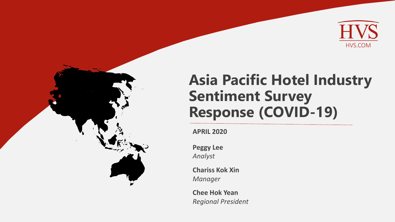

# **Asia Pacific Hotel Industry Sentiment Survey Response (COVID-19)**

**APRIL 2020**

**Peggy Lee** *Analyst*

**Chariss Kok Xin** *Manager*

**Chee Hok Yean** *Regional President*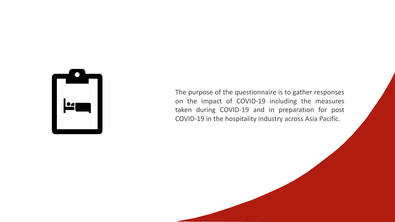

The purpose of the questionnaire is to gather responses on the impact of COVID-19 including the measures taken during COVID-19 and in preparation for post COVID-19 in the hospitality industry across Asia Pacific.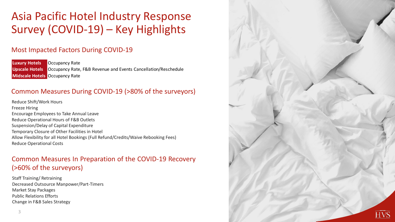## Asia Pacific Hotel Industry Response Survey (COVID-19) – Key Highlights

### Most Impacted Factors During COVID-19

**Luxury Hotels Occupancy Rate Upscale Hotels** Occupancy Rate, F&B Revenue and Events Cancellation/Reschedule **Midscale Hotels** Occupancy Rate

### Common Measures During COVID-19 (>80% of the surveyors)

Reduce Shift/Work Hours Freeze Hiring Encourage Employees to Take Annual Leave Reduce Operational Hours of F&B Outlets Suspension/Delay of Capital Expenditure Temporary Closure of Other Facilities in Hotel Allow Flexibility for all Hotel Bookings (Full Refund/Credits/Waive Rebooking Fees) Reduce Operational Costs

### Common Measures In Preparation of the COVID-19 Recovery (>60% of the surveyors)

Staff Training/ Retraining Decreased Outsource Manpower/Part-Timers Market Stay Packages Public Relations Efforts Change in F&B Sales Strategy

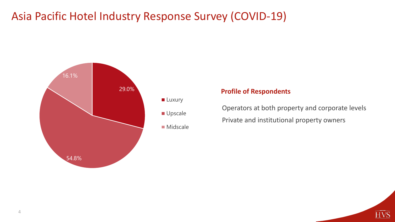

#### **Profile of Respondents**

Operators at both property and corporate levels Private and institutional property owners

 $\overline{\text{HVS}}$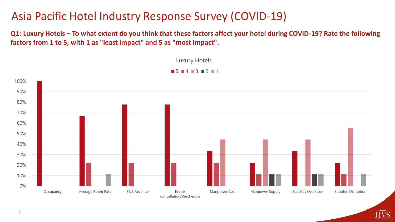**Q1: Luxury Hotels – To what extent do you think that these factors affect your hotel during COVID-19? Rate the following factors from 1 to 5, with 1 as "least impact" and 5 as "most impact".**



HVŠ

 $\blacksquare$  5  $\blacksquare$  4  $\blacksquare$  3  $\blacksquare$  2  $\blacksquare$  1

Luxury Hotels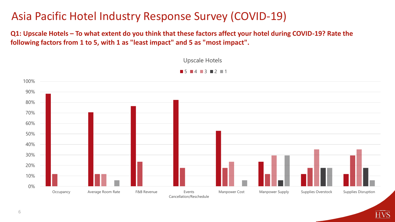**Q1: Upscale Hotels – To what extent do you think that these factors affect your hotel during COVID-19? Rate the following factors from 1 to 5, with 1 as "least impact" and 5 as "most impact".**



HVŠ

Upscale Hotels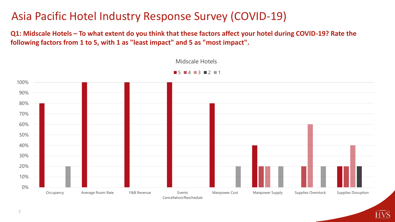**Q1: Midscale Hotels – To what extent do you think that these factors affect your hotel during COVID-19? Rate the following factors from 1 to 5, with 1 as "least impact" and 5 as "most impact".**



HVŠ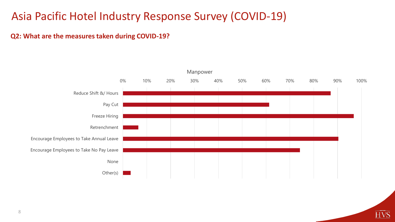#### **Q2: What are the measures taken during COVID-19?**



 $\overline{\mathrm{HVS}}$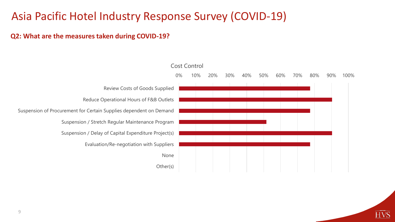#### **Q2: What are the measures taken during COVID-19?**

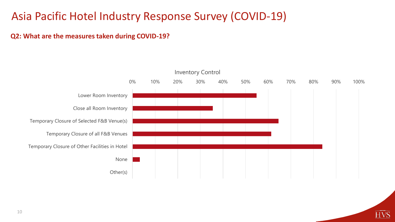#### **Q2: What are the measures taken during COVID-19?**



<u>HVŠ</u>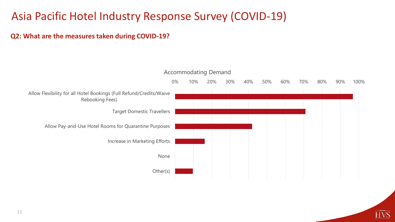#### **Q2: What are the measures taken during COVID-19?**

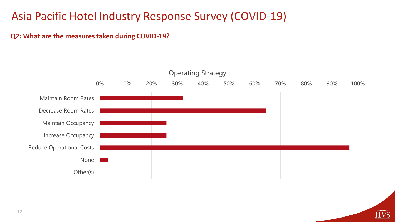#### **Q2: What are the measures taken during COVID-19?**



 $\widehat{HVS}$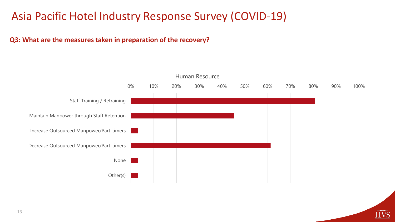#### **Q3: What are the measures taken in preparation of the recovery?**

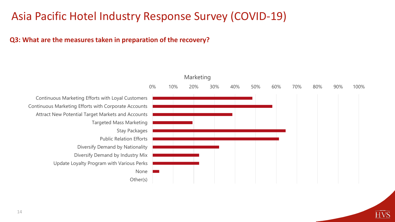#### **Q3: What are the measures taken in preparation of the recovery?**

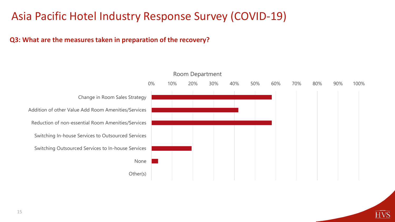### **Q3: What are the measures taken in preparation of the recovery?**



### Room Department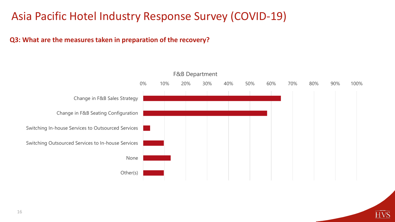### **Q3: What are the measures taken in preparation of the recovery?**

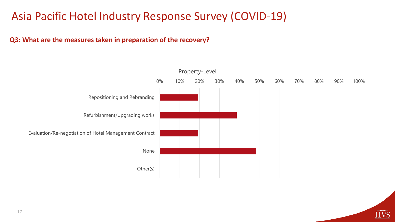### **Q3: What are the measures taken in preparation of the recovery?**

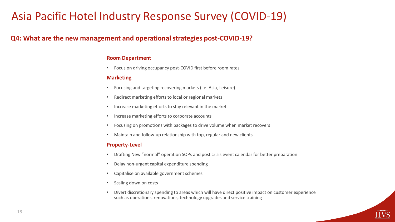#### **Q4: What are the new management and operational strategies post-COVID-19?**

#### **Room Department**

• Focus on driving occupancy post-COVID first before room rates

#### **Marketing**

- Focusing and targeting recovering markets (i.e. Asia, Leisure)
- Redirect marketing efforts to local or regional markets
- Increase marketing efforts to stay relevant in the market
- Increase marketing efforts to corporate accounts
- Focusing on promotions with packages to drive volume when market recovers
- Maintain and follow-up relationship with top, regular and new clients

#### **Property-Level**

- Drafting New "normal" operation SOPs and post crisis event calendar for better preparation
- Delay non-urgent capital expenditure spending
- Capitalise on available government schemes
- Scaling down on costs
- Divert discretionary spending to areas which will have direct positive impact on customer experience such as operations, renovations, technology upgrades and service training